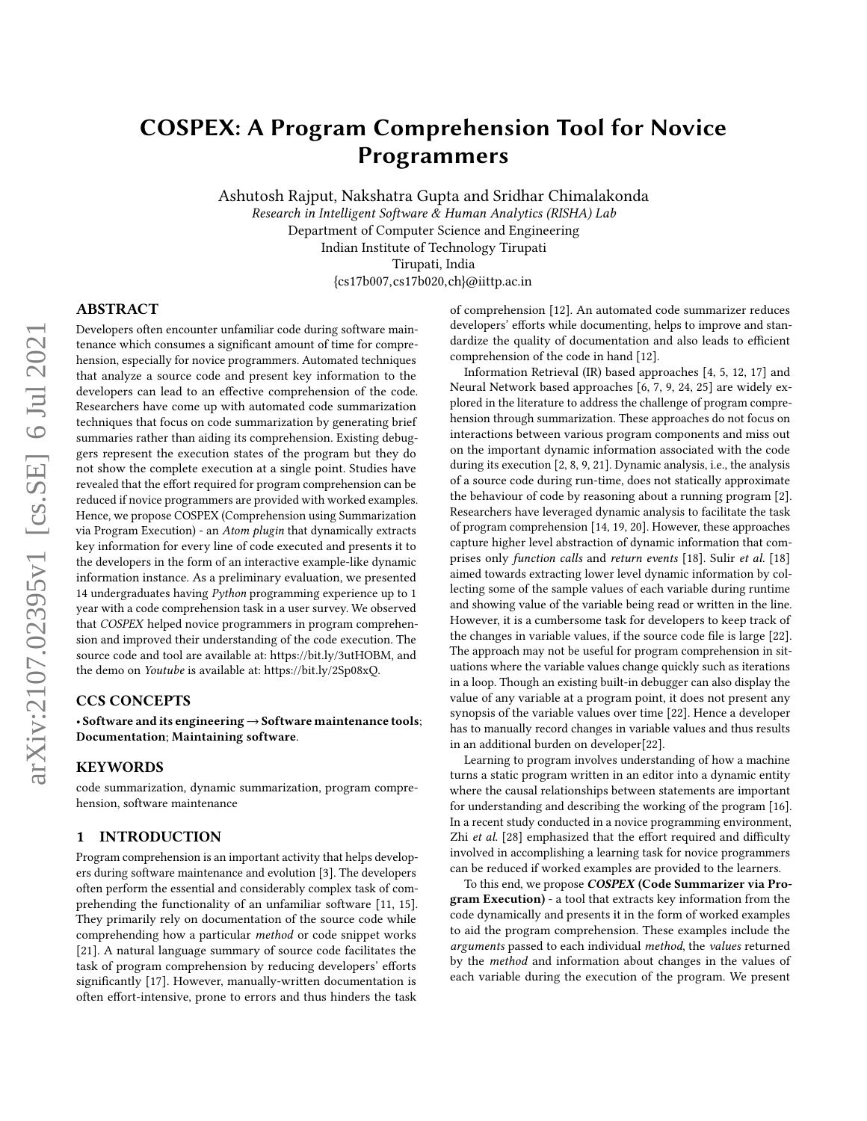# COSPEX: A Program Comprehension Tool for Novice Programmers

Ashutosh Rajput, Nakshatra Gupta and Sridhar Chimalakonda Research in Intelligent Software & Human Analytics (RISHA) Lab Department of Computer Science and Engineering Indian Institute of Technology Tirupati Tirupati, India {cs17b007,cs17b020,ch}@iittp.ac.in

## ABSTRACT

Developers often encounter unfamiliar code during software maintenance which consumes a significant amount of time for comprehension, especially for novice programmers. Automated techniques that analyze a source code and present key information to the developers can lead to an effective comprehension of the code. Researchers have come up with automated code summarization techniques that focus on code summarization by generating brief summaries rather than aiding its comprehension. Existing debuggers represent the execution states of the program but they do not show the complete execution at a single point. Studies have revealed that the effort required for program comprehension can be reduced if novice programmers are provided with worked examples. Hence, we propose COSPEX (Comprehension using Summarization via Program Execution) - an Atom plugin that dynamically extracts key information for every line of code executed and presents it to the developers in the form of an interactive example-like dynamic information instance. As a preliminary evaluation, we presented 14 undergraduates having Python programming experience up to 1 year with a code comprehension task in a user survey. We observed that COSPEX helped novice programmers in program comprehension and improved their understanding of the code execution. The source code and tool are available at: [https://bit.ly/3utHOBM,](https://bit.ly/3utHOBM) and the demo on Youtube is available at: [https://bit.ly/2Sp08xQ.](https://bit.ly/2Sp08xQ)

## CCS CONCEPTS

• Software and its engineering  $\rightarrow$  Software maintenance tools; Documentation; Maintaining software.

#### KEYWORDS

code summarization, dynamic summarization, program comprehension, software maintenance

#### 1 INTRODUCTION

Program comprehension is an important activity that helps developers during software maintenance and evolution [\[3\]](#page-3-0). The developers often perform the essential and considerably complex task of comprehending the functionality of an unfamiliar software [\[11,](#page-4-0) [15\]](#page-4-1). They primarily rely on documentation of the source code while comprehending how a particular method or code snippet works [\[21\]](#page-4-2). A natural language summary of source code facilitates the task of program comprehension by reducing developers' efforts significantly [\[17\]](#page-4-3). However, manually-written documentation is often effort-intensive, prone to errors and thus hinders the task

of comprehension [\[12\]](#page-4-4). An automated code summarizer reduces developers' efforts while documenting, helps to improve and standardize the quality of documentation and also leads to efficient comprehension of the code in hand [\[12\]](#page-4-4).

Information Retrieval (IR) based approaches [\[4,](#page-3-1) [5,](#page-4-5) [12,](#page-4-4) [17\]](#page-4-3) and Neural Network based approaches [\[6,](#page-4-6) [7,](#page-4-7) [9,](#page-4-8) [24,](#page-4-9) [25\]](#page-4-10) are widely explored in the literature to address the challenge of program comprehension through summarization. These approaches do not focus on interactions between various program components and miss out on the important dynamic information associated with the code during its execution [\[2,](#page-3-2) [8,](#page-4-11) [9,](#page-4-8) [21\]](#page-4-2). Dynamic analysis, i.e., the analysis of a source code during run-time, does not statically approximate the behaviour of code by reasoning about a running program [\[2\]](#page-3-2). Researchers have leveraged dynamic analysis to facilitate the task of program comprehension [\[14,](#page-4-12) [19,](#page-4-13) [20\]](#page-4-14). However, these approaches capture higher level abstraction of dynamic information that comprises only function calls and return events [\[18\]](#page-4-15). Sulir et al. [\[18\]](#page-4-15) aimed towards extracting lower level dynamic information by collecting some of the sample values of each variable during runtime and showing value of the variable being read or written in the line. However, it is a cumbersome task for developers to keep track of the changes in variable values, if the source code file is large [\[22\]](#page-4-16). The approach may not be useful for program comprehension in situations where the variable values change quickly such as iterations in a loop. Though an existing built-in debugger can also display the value of any variable at a program point, it does not present any synopsis of the variable values over time [\[22\]](#page-4-16). Hence a developer has to manually record changes in variable values and thus results in an additional burden on developer[\[22\]](#page-4-16).

Learning to program involves understanding of how a machine turns a static program written in an editor into a dynamic entity where the causal relationships between statements are important for understanding and describing the working of the program [\[16\]](#page-4-17). In a recent study conducted in a novice programming environment, Zhi et al. [\[28\]](#page-4-18) emphasized that the effort required and difficulty involved in accomplishing a learning task for novice programmers can be reduced if worked examples are provided to the learners.

To this end, we propose COSPEX (Code Summarizer via Program Execution) - a tool that extracts key information from the code dynamically and presents it in the form of worked examples to aid the program comprehension. These examples include the arguments passed to each individual method, the values returned by the method and information about changes in the values of each variable during the execution of the program. We present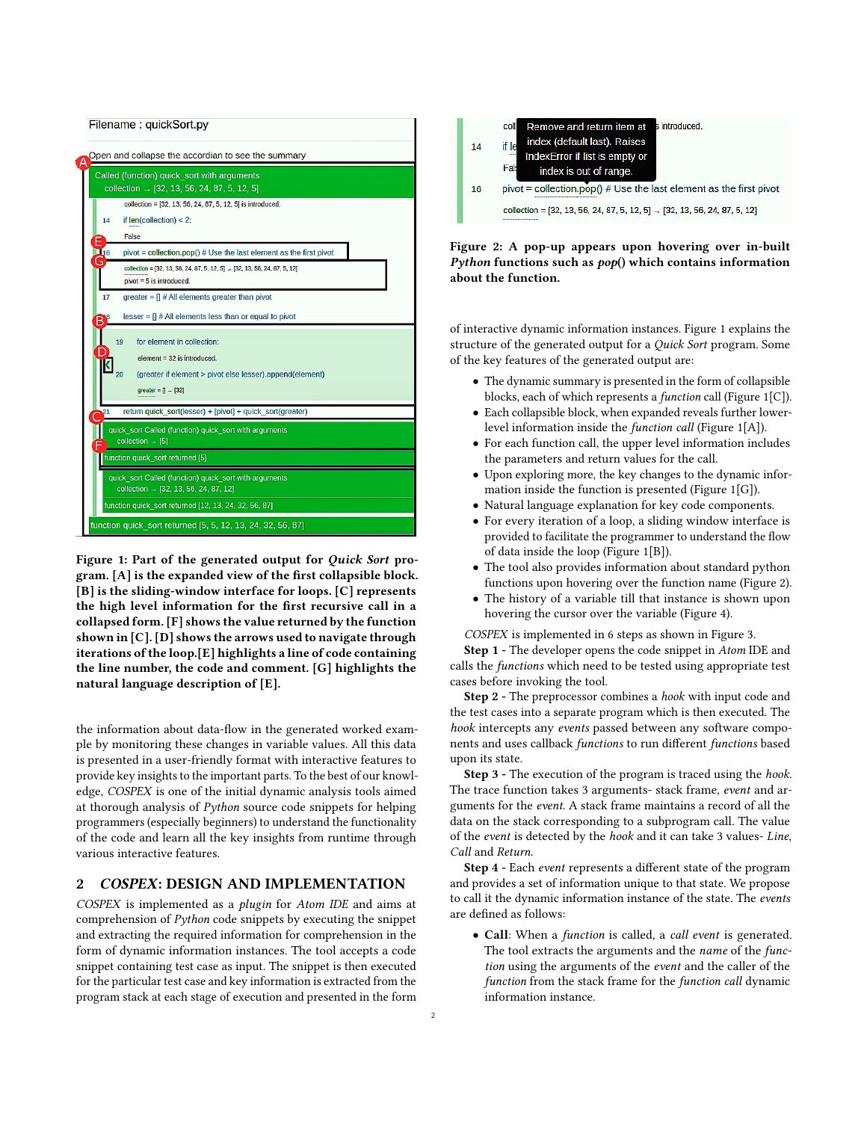<span id="page-1-0"></span>

Figure 1: Part of the generated output for Quick Sort program. [A] is the expanded view of the first collapsible block. [B] is the sliding-window interface for loops. [C] represents the high level information for the first recursive call in a collapsed form. [F] shows the value returned by the function shown in [C]. [D] shows the arrows used to navigate through iterations of the loop.[E] highlights a line of code containing the line number, the code and comment. [G] highlights the natural language description of [E].

the information about data-flow in the generated worked example by monitoring these changes in variable values. All this data is presented in a user-friendly format with interactive features to provide key insights to the important parts. To the best of our knowledge, COSPEX is one of the initial dynamic analysis tools aimed at thorough analysis of Python source code snippets for helping programmers (especially beginners) to understand the functionality of the code and learn all the key insights from runtime through various interactive features.

# 2 COSPEX: DESIGN AND IMPLEMENTATION

COSPEX is implemented as a plugin for Atom IDE and aims at comprehension of Python code snippets by executing the snippet and extracting the required information for comprehension in the form of dynamic information instances. The tool accepts a code snippet containing test case as input. The snippet is then executed for the particular test case and key information is extracted from the program stack at each stage of execution and presented in the form

<span id="page-1-1"></span>

Figure 2: A pop-up appears upon hovering over in-built Python functions such as  $pop()$  which contains information about the function.

of interactive dynamic information instances. Figure [1](#page-1-0) explains the structure of the generated output for a Quick Sort program. Some of the key features of the generated output are:

- The dynamic summary is presented in the form of collapsible blocks, each of which represents a function call (Figure [1\[](#page-1-0)C]).
- Each collapsible block, when expanded reveals further lowerlevel information inside the function call (Figure [1\[](#page-1-0)A]).
- For each function call, the upper level information includes the parameters and return values for the call.
- Upon exploring more, the key changes to the dynamic information inside the function is presented (Figure [1\[](#page-1-0)G]).
- Natural language explanation for key code components.
- For every iteration of a loop, a sliding window interface is provided to facilitate the programmer to understand the flow of data inside the loop (Figure [1\[](#page-1-0)B]).
- The tool also provides information about standard python functions upon hovering over the function name (Figure [2\)](#page-1-1).
- The history of a variable till that instance is shown upon hovering the cursor over the variable (Figure [4\)](#page-2-0).

COSPEX is implemented in 6 steps as shown in Figure [3.](#page-2-1)

Step 1 - The developer opens the code snippet in Atom IDE and calls the functions which need to be tested using appropriate test cases before invoking the tool.

Step 2 - The preprocessor combines a hook with input code and the test cases into a separate program which is then executed. The hook intercepts any events passed between any software components and uses callback functions to run different functions based upon its state.

Step 3 - The execution of the program is traced using the hook. The trace function takes 3 arguments- stack frame, event and arguments for the event. A stack frame maintains a record of all the data on the stack corresponding to a subprogram call. The value of the event is detected by the hook and it can take 3 values- Line, Call and Return.

Step 4 - Each event represents a different state of the program and provides a set of information unique to that state. We propose to call it the dynamic information instance of the state. The events are defined as follows:

• Call: When a function is called, a call event is generated. The tool extracts the arguments and the name of the function using the arguments of the event and the caller of the function from the stack frame for the function call dynamic information instance.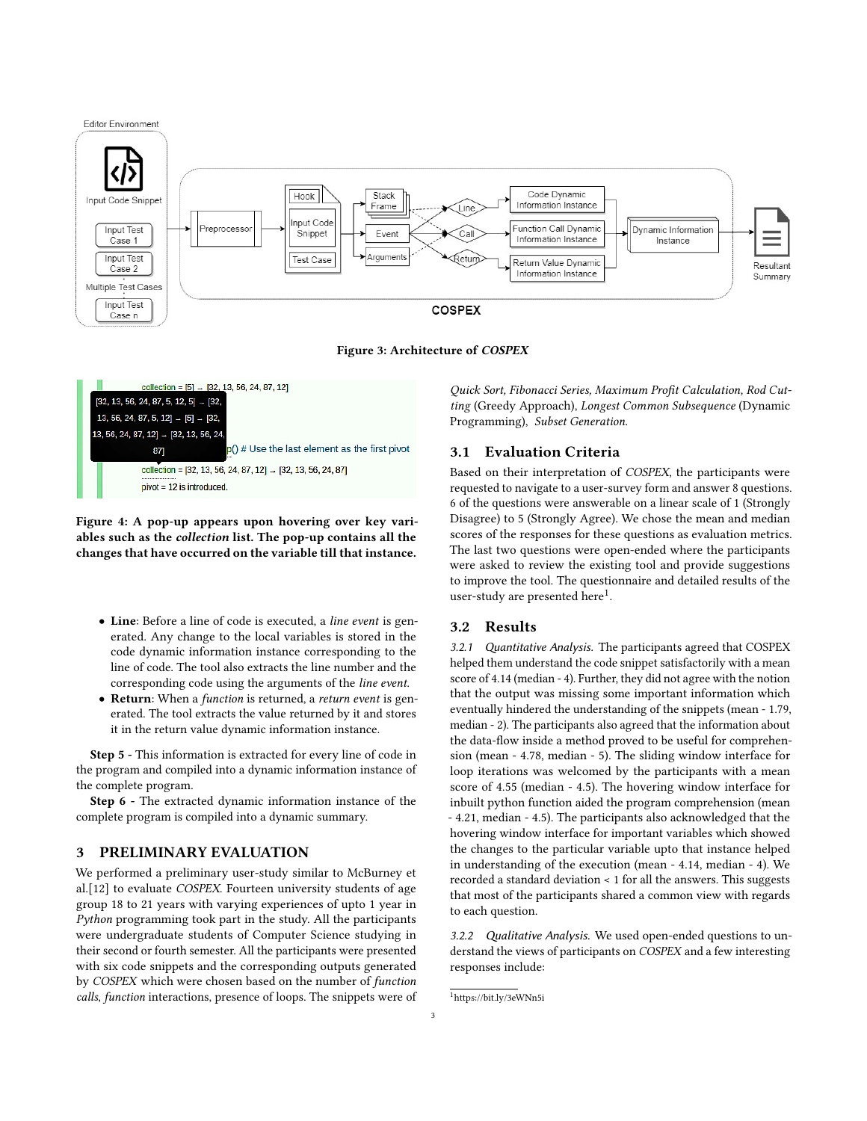<span id="page-2-1"></span>

Figure 3: Architecture of COSPEX

<span id="page-2-0"></span>

Figure 4: A pop-up appears upon hovering over key variables such as the collection list. The pop-up contains all the changes that have occurred on the variable till that instance.

- Line: Before a line of code is executed, a line event is generated. Any change to the local variables is stored in the code dynamic information instance corresponding to the line of code. The tool also extracts the line number and the corresponding code using the arguments of the line event.
- Return: When a function is returned, a return event is generated. The tool extracts the value returned by it and stores it in the return value dynamic information instance.

Step 5 - This information is extracted for every line of code in the program and compiled into a dynamic information instance of the complete program.

Step 6 - The extracted dynamic information instance of the complete program is compiled into a dynamic summary.

## 3 PRELIMINARY EVALUATION

We performed a preliminary user-study similar to McBurney et al.[\[12\]](#page-4-4) to evaluate COSPEX. Fourteen university students of age group 18 to 21 years with varying experiences of upto 1 year in Python programming took part in the study. All the participants were undergraduate students of Computer Science studying in their second or fourth semester. All the participants were presented with six code snippets and the corresponding outputs generated by COSPEX which were chosen based on the number of function calls, function interactions, presence of loops. The snippets were of

Quick Sort, Fibonacci Series, Maximum Profit Calculation, Rod Cutting (Greedy Approach), Longest Common Subsequence (Dynamic Programming), Subset Generation.

## 3.1 Evaluation Criteria

Based on their interpretation of COSPEX, the participants were requested to navigate to a user-survey form and answer 8 questions. 6 of the questions were answerable on a linear scale of 1 (Strongly Disagree) to 5 (Strongly Agree). We chose the mean and median scores of the responses for these questions as evaluation metrics. The last two questions were open-ended where the participants were asked to review the existing tool and provide suggestions to improve the tool. The questionnaire and detailed results of the user-study are presented here $^1$  $^1$ .

#### 3.2 Results

3.2.1 Quantitative Analysis. The participants agreed that COSPEX helped them understand the code snippet satisfactorily with a mean score of 4.14 (median - 4). Further, they did not agree with the notion that the output was missing some important information which eventually hindered the understanding of the snippets (mean - 1.79, median - 2). The participants also agreed that the information about the data-flow inside a method proved to be useful for comprehension (mean - 4.78, median - 5). The sliding window interface for loop iterations was welcomed by the participants with a mean score of 4.55 (median - 4.5). The hovering window interface for inbuilt python function aided the program comprehension (mean - 4.21, median - 4.5). The participants also acknowledged that the hovering window interface for important variables which showed the changes to the particular variable upto that instance helped in understanding of the execution (mean - 4.14, median - 4). We recorded a standard deviation < 1 for all the answers. This suggests that most of the participants shared a common view with regards to each question.

3.2.2 Qualitative Analysis. We used open-ended questions to understand the views of participants on COSPEX and a few interesting responses include:

<span id="page-2-2"></span><sup>1</sup><https://bit.ly/3eWNn5i>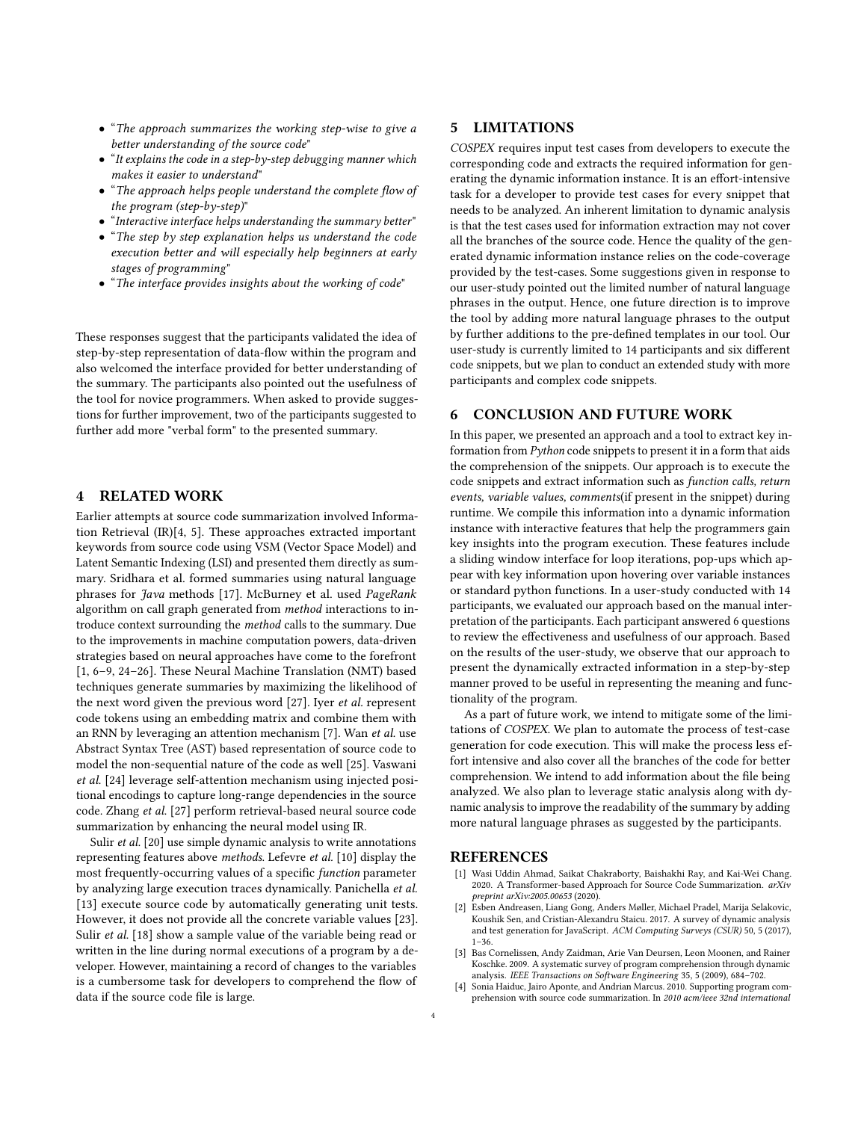- "The approach summarizes the working step-wise to give a better understanding of the source code"
- "It explains the code in a step-by-step debugging manner which makes it easier to understand"
- "The approach helps people understand the complete flow of the program (step-by-step)"
- "Interactive interface helps understanding the summary better"
- "The step by step explanation helps us understand the code execution better and will especially help beginners at early stages of programming"
- "The interface provides insights about the working of code"

These responses suggest that the participants validated the idea of step-by-step representation of data-flow within the program and also welcomed the interface provided for better understanding of the summary. The participants also pointed out the usefulness of the tool for novice programmers. When asked to provide suggestions for further improvement, two of the participants suggested to further add more "verbal form" to the presented summary.

#### 4 RELATED WORK

Earlier attempts at source code summarization involved Information Retrieval (IR)[\[4,](#page-3-1) [5\]](#page-4-5). These approaches extracted important keywords from source code using VSM (Vector Space Model) and Latent Semantic Indexing (LSI) and presented them directly as summary. Sridhara et al. formed summaries using natural language phrases for Java methods [\[17\]](#page-4-3). McBurney et al. used PageRank algorithm on call graph generated from method interactions to introduce context surrounding the method calls to the summary. Due to the improvements in machine computation powers, data-driven strategies based on neural approaches have come to the forefront [\[1,](#page-3-3) [6–](#page-4-6)[9,](#page-4-8) [24–](#page-4-9)[26\]](#page-4-19). These Neural Machine Translation (NMT) based techniques generate summaries by maximizing the likelihood of the next word given the previous word [\[27\]](#page-4-20). Iyer et al. represent code tokens using an embedding matrix and combine them with an RNN by leveraging an attention mechanism [\[7\]](#page-4-7). Wan et al. use Abstract Syntax Tree (AST) based representation of source code to model the non-sequential nature of the code as well [\[25\]](#page-4-10). Vaswani et al. [\[24\]](#page-4-9) leverage self-attention mechanism using injected positional encodings to capture long-range dependencies in the source code. Zhang et al. [\[27\]](#page-4-20) perform retrieval-based neural source code summarization by enhancing the neural model using IR.

Sulir et al. [\[20\]](#page-4-14) use simple dynamic analysis to write annotations representing features above methods. Lefevre et al. [\[10\]](#page-4-21) display the most frequently-occurring values of a specific function parameter by analyzing large execution traces dynamically. Panichella et al. [\[13\]](#page-4-22) execute source code by automatically generating unit tests. However, it does not provide all the concrete variable values [\[23\]](#page-4-23). Sulir et al. [\[18\]](#page-4-15) show a sample value of the variable being read or written in the line during normal executions of a program by a developer. However, maintaining a record of changes to the variables is a cumbersome task for developers to comprehend the flow of data if the source code file is large.

## 5 LIMITATIONS

COSPEX requires input test cases from developers to execute the corresponding code and extracts the required information for generating the dynamic information instance. It is an effort-intensive task for a developer to provide test cases for every snippet that needs to be analyzed. An inherent limitation to dynamic analysis is that the test cases used for information extraction may not cover all the branches of the source code. Hence the quality of the generated dynamic information instance relies on the code-coverage provided by the test-cases. Some suggestions given in response to our user-study pointed out the limited number of natural language phrases in the output. Hence, one future direction is to improve the tool by adding more natural language phrases to the output by further additions to the pre-defined templates in our tool. Our user-study is currently limited to 14 participants and six different code snippets, but we plan to conduct an extended study with more participants and complex code snippets.

## 6 CONCLUSION AND FUTURE WORK

In this paper, we presented an approach and a tool to extract key information from Python code snippets to present it in a form that aids the comprehension of the snippets. Our approach is to execute the code snippets and extract information such as function calls, return events, variable values, comments(if present in the snippet) during runtime. We compile this information into a dynamic information instance with interactive features that help the programmers gain key insights into the program execution. These features include a sliding window interface for loop iterations, pop-ups which appear with key information upon hovering over variable instances or standard python functions. In a user-study conducted with 14 participants, we evaluated our approach based on the manual interpretation of the participants. Each participant answered 6 questions to review the effectiveness and usefulness of our approach. Based on the results of the user-study, we observe that our approach to present the dynamically extracted information in a step-by-step manner proved to be useful in representing the meaning and functionality of the program.

As a part of future work, we intend to mitigate some of the limitations of COSPEX. We plan to automate the process of test-case generation for code execution. This will make the process less effort intensive and also cover all the branches of the code for better comprehension. We intend to add information about the file being analyzed. We also plan to leverage static analysis along with dynamic analysis to improve the readability of the summary by adding more natural language phrases as suggested by the participants.

#### REFERENCES

- <span id="page-3-3"></span>[1] Wasi Uddin Ahmad, Saikat Chakraborty, Baishakhi Ray, and Kai-Wei Chang. 2020. A Transformer-based Approach for Source Code Summarization. arXiv preprint arXiv:2005.00653 (2020).
- <span id="page-3-2"></span>[2] Esben Andreasen, Liang Gong, Anders Møller, Michael Pradel, Marija Selakovic, Koushik Sen, and Cristian-Alexandru Staicu. 2017. A survey of dynamic analysis and test generation for JavaScript. ACM Computing Surveys (CSUR) 50, 5 (2017),  $1 - 36$ .
- <span id="page-3-0"></span>[3] Bas Cornelissen, Andy Zaidman, Arie Van Deursen, Leon Moonen, and Rainer Koschke. 2009. A systematic survey of program comprehension through dynamic analysis. IEEE Transactions on Software Engineering 35, 5 (2009), 684–702.
- <span id="page-3-1"></span>Sonia Haiduc, Jairo Aponte, and Andrian Marcus. 2010. Supporting program comprehension with source code summarization. In 2010 acm/ieee 32nd international